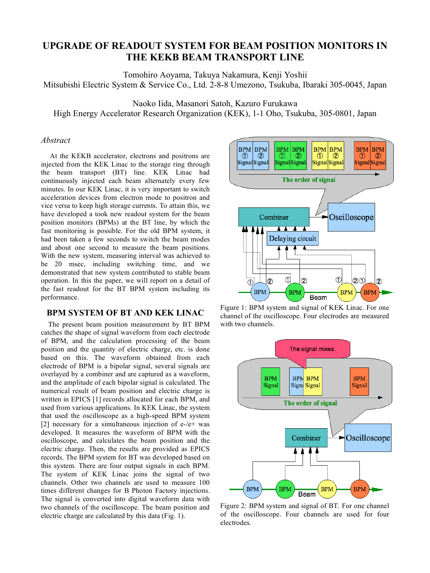# **UPGRADE OF READOUT SYSTEM FOR BEAM POSITION MONITORS IN THE KEKB BEAM TRANSPORT LINE**

Tomohiro Aoyama, Takuya Nakamura, Kenji Yoshii Mitsubishi Electric System & Service Co., Ltd. 2-8-8 Umezono, Tsukuba, Ibaraki 305-0045, Japan

Naoko Iida, Masanori Satoh, Kazuro Furukawa

High Energy Accelerator Research Organization (KEK), 1-1 Oho, Tsukuba, 305-0801, Japan

# *Abstract*

 At the KEKB accelerator, electrons and positrons are injected from the KEK Linac to the storage ring through the beam transport (BT) line. KEK Linac had continuously injected each beam alternately every few minutes. In our KEK Linac, it is very important to switch acceleration devices from electron mode to positron and vice versa to keep high storage currents. To attain this, we have developed a took new readout system for the beam position monitors (BPMs) at the BT line, by which the fast monitoring is possible. For the old BPM system, it had been taken a few seconds to switch the beam modes and about one second to measure the beam positions. With the new system, measuring interval was achieved to be 20 msec, including switching time, and we demonstrated that new system contributed to stable beam operation. In this the paper, we will report on a detail of the fast readout for the BT BPM system including its performance.

### **BPM SYSTEM OF BT AND KEK LINAC**

The present beam position measurement by BT BPM catches the shape of signal waveform from each electrode of BPM, and the calculation processing of the beam position and the quantity of electric charge, etc. is done based on this. The waveform obtained from each electrode of BPM is a bipolar signal, several signals are overlayed by a combiner and are captured as a waveform, and the amplitude of each bipolar signal is calculated. The numerical result of beam position and electric charge is written in EPICS [1] records allocated for each BPM, and used from various applications. In KEK Linac, the system that used the oscilloscope as a high-speed BPM system [2] necessary for a simultaneous injection of  $e$ -/ $e$ + was developed. It measures the waveform of BPM with the oscilloscope, and calculates the beam position and the electric charge. Then, the results are provided as EPICS records. The BPM system for BT was developed based on this system. There are four output signals in each BPM. The system of KEK Linac joins the signal of two channels. Other two channels are used to measure 100 times different changes for B Photon Factory injections. The signal is converted into digital waveform data with two channels of the oscilloscope. The beam position and electric charge are calculated by this data (Fig. 1).



Figure 1: BPM system and signal of KEK Linac. For one channel of the oscilloscope. Four electrodes are measured with two channels.



Figure 2: BPM system and signal of BT. For one channel of the oscilloscope. Four channels are used for four electrodes.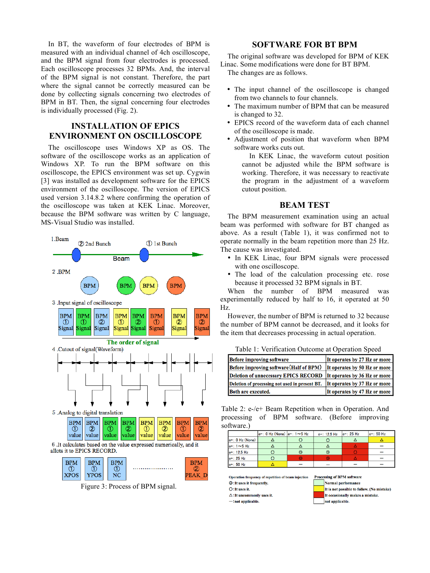In BT, the waveform of four electrodes of BPM is measured with an individual channel of 4ch oscilloscope, and the BPM signal from four electrodes is processed. Each oscilloscope processes 32 BPMs. And, the interval of the BPM signal is not constant. Therefore, the part where the signal cannot be correctly measured can be done by collecting signals concerning two electrodes of BPM in BT. Then, the signal concerning four electrodes is individually processed (Fig. 2).

# **INSTALLATION OF EPICS ENVIRONMENT ON OSCILLOSCOPE**

The oscilloscope uses Windows XP as OS. The software of the oscilloscope works as an application of Windows XP. To run the BPM software on this oscilloscope, the EPICS environment was set up. Cygwin [3] was installed as development software for the EPICS environment of the oscilloscope. The version of EPICS used version 3.14.8.2 where confirming the operation of the oscilloscope was taken at KEK Linac. Moreover, because the BPM software was written by C language, MS-Visual Studio was installed.



Figure 3: Process of BPM signal.

#### **SOFTWARE FOR BT BPM**

The original software was developed for BPM of KEK Linac. Some modifications were done for BT BPM.

The changes are as follows.

- The input channel of the oscilloscope is changed from two channels to four channels.
- The maximum number of BPM that can be measured is changed to 32.
- EPICS record of the waveform data of each channel of the oscilloscope is made.
- Adjustment of position that waveform when BPM software works cuts out.

In KEK Linac, the waveform cutout position cannot be adjusted while the BPM software is working. Therefore, it was necessary to reactivate the program in the adjustment of a waveform cutout position.

### **BEAM TEST**

The BPM measurement examination using an actual beam was performed with software for BT changed as above. As a result (Table 1), it was confirmed not to operate normally in the beam repetition more than 25 Hz. The cause was investigated.

- In KEK Linac, four BPM signals were processed with one oscilloscope.
- The load of the calculation processing etc. rose because it processed 32 BPM signals in BT.

When the number of BPM measured was experimentally reduced by half to 16, it operated at 50 Hz.

However, the number of BPM is returned to 32 because the number of BPM cannot be decreased, and it looks for the item that decreases processing in actual operation.

| Tuolo II Termodion Caledine at Operation Speed                                |                              |  |  |  |  |
|-------------------------------------------------------------------------------|------------------------------|--|--|--|--|
| <b>Before improving software</b>                                              | It operates by 27 Hz or more |  |  |  |  |
| Before improving software (Half of BPM) It operates by 50 Hz or more          |                              |  |  |  |  |
| Deletion of unnecessary EPICS RECORD It operates by 36 Hz or more             |                              |  |  |  |  |
| Deletion of processing not used in present BT.   It operates by 37 Hz or more |                              |  |  |  |  |
| <b>Roth are executed</b>                                                      | It operates by 47 Hz or more |  |  |  |  |

Table 1: Verification Outcome at Operation Speed

Table 2: e-/e+ Beam Repetition when in Operation. And processing of BPM software. (Before improving software.)

|                 | $ e-$ : 0 Hz (None) $ e-$ : 1 ~ 5 Hz |                | $e-: 12.5 Hz$ | $e - 25$ Hz | $ e-: 50 Hz$ |
|-----------------|--------------------------------------|----------------|---------------|-------------|--------------|
| e+: 0 Hz (None) |                                      |                |               |             |              |
| $e+$ : 1~5 Hz   |                                      |                |               |             |              |
| e+: 12.5 Hz     |                                      | $\circledcirc$ | O             |             |              |
| $e+$ : 25 Hz    |                                      |                | $\odot$       |             |              |
| e+: 50 Hz       |                                      |                |               |             |              |

Operation frequency of repetition of beam injection **Processing of BPM software** 

©: It uses it frequently. O: It uses it.  $\triangle$ : It uncommonly uses it Normal performance It is not possible to follow. (No mistake)

It occasionally makes a mistake.

 $-$ : not applicable.

not applicable.